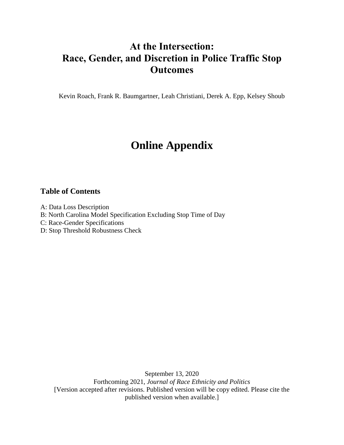## **At the Intersection: Race, Gender, and Discretion in Police Traffic Stop Outcomes**

Kevin Roach, Frank R. Baumgartner, Leah Christiani, Derek A. Epp, Kelsey Shoub

# **Online Appendix**

### **Table of Contents**

A: Data Loss Description

B: North Carolina Model Specification Excluding Stop Time of Day

C: Race-Gender Specifications

D: Stop Threshold Robustness Check

September 13, 2020 Forthcoming 2021, *Journal of Race Ethnicity and Politics* [Version accepted after revisions. Published version will be copy edited. Please cite the published version when available.]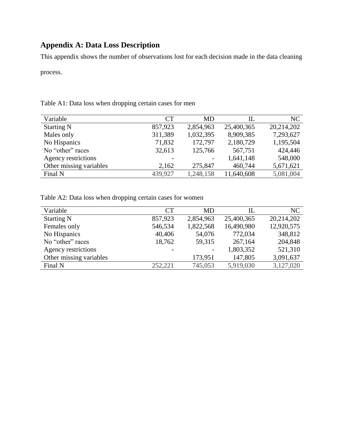### **Appendix A: Data Loss Description**

This appendix shows the number of observations lost for each decision made in the data cleaning

process.

| Variable                | <b>CT</b> | MD        | Ш          | NC         |
|-------------------------|-----------|-----------|------------|------------|
| <b>Starting N</b>       | 857,923   | 2,854,963 | 25,400,365 | 20,214,202 |
| Males only              | 311,389   | 1,032,395 | 8,909,385  | 7,293,627  |
| No Hispanics            | 71,832    | 172,797   | 2,180,729  | 1,195,504  |
| No "other" races        | 32,613    | 125,766   | 567,751    | 424,446    |
| Agency restrictions     |           |           | 1,641,148  | 548,000    |
| Other missing variables | 2,162     | 275,847   | 460,744    | 5,671,621  |
| Final N                 | 439,927   | 1,248,158 | 11,640,608 | 5,081,004  |

Table A1: Data loss when dropping certain cases for men

Table A2: Data loss when dropping certain cases for women

| Variable                | CT      | MD.       | IL         | NC         |
|-------------------------|---------|-----------|------------|------------|
| <b>Starting N</b>       | 857,923 | 2,854,963 | 25,400,365 | 20,214,202 |
| Females only            | 546,534 | 1,822,568 | 16,490,980 | 12,920,575 |
| No Hispanics            | 40,406  | 54,076    | 772,034    | 348,812    |
| No "other" races        | 18,762  | 59,315    | 267,164    | 204,848    |
| Agency restrictions     |         |           | 1,803,352  | 521,310    |
| Other missing variables |         | 173,951   | 147,805    | 3,091,637  |
| Final N                 | 252,221 | 745,053   | 5,919,030  | 3,127,020  |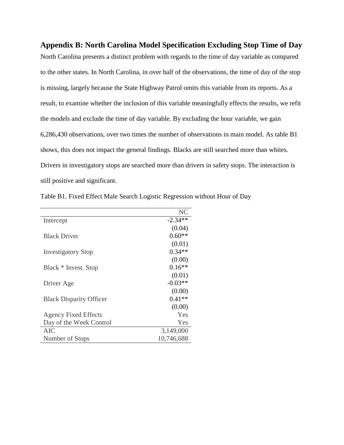**Appendix B: North Carolina Model Specification Excluding Stop Time of Day** North Carolina presents a distinct problem with regards to the time of day variable as compared to the other states. In North Carolina, in over half of the observations, the time of day of the stop is missing, largely because the State Highway Patrol omits this variable from its reports. As a result, to examine whether the inclusion of this variable meaningfully effects the results, we refit the models and exclude the time of day variable. By excluding the hour variable, we gain 6,286,430 observations, over two times the number of observations in main model. As table B1 shows, this does not impact the general findings. Blacks are still searched more than whites. Drivers in investigatory stops are searched more than drivers in safety stops. The interaction is still positive and significant.

|                                | NC         |
|--------------------------------|------------|
| Intercept                      | $-2.34**$  |
|                                | (0.04)     |
| <b>Black Driver</b>            | $0.60**$   |
|                                | (0.01)     |
| <b>Investigatory Stop</b>      | $0.34**$   |
|                                | (0.00)     |
| Black * Invest. Stop           | $0.16**$   |
|                                | (0.01)     |
| Driver Age                     | $-0.03**$  |
|                                | (0.00)     |
| <b>Black Disparity Officer</b> | $0.41**$   |
|                                | (0.00)     |
| <b>Agency Fixed Effects</b>    | Yes        |
| Day of the Week Control        | Yes        |
| AIC                            | 3,149,000  |
| Number of Stops                | 10,746,688 |

Table B1. Fixed Effect Male Search Logistic Regression without Hour of Day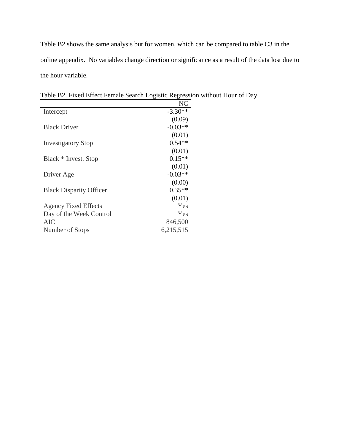Table B2 shows the same analysis but for women, which can be compared to table C3 in the online appendix. No variables change direction or significance as a result of the data lost due to the hour variable.

|                                | NC        |
|--------------------------------|-----------|
| Intercept                      | $-3.30**$ |
|                                | (0.09)    |
| <b>Black Driver</b>            | $-0.03**$ |
|                                | (0.01)    |
| <b>Investigatory Stop</b>      | $0.54**$  |
|                                | (0.01)    |
| Black * Invest. Stop           | $0.15**$  |
|                                | (0.01)    |
| Driver Age                     | $-0.03**$ |
|                                | (0.00)    |
| <b>Black Disparity Officer</b> | $0.35**$  |
|                                | (0.01)    |
| <b>Agency Fixed Effects</b>    | Yes       |
| Day of the Week Control        | Yes       |
| AIC                            | 846,500   |
| Number of Stops                | 6,215,515 |

Table B2. Fixed Effect Female Search Logistic Regression without Hour of Day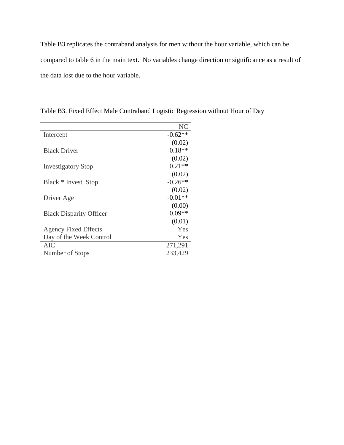Table B3 replicates the contraband analysis for men without the hour variable, which can be compared to table 6 in the main text. No variables change direction or significance as a result of the data lost due to the hour variable.

|                                | NC        |
|--------------------------------|-----------|
| Intercept                      | $-0.62**$ |
|                                | (0.02)    |
| <b>Black Driver</b>            | $0.18**$  |
|                                | (0.02)    |
| <b>Investigatory Stop</b>      | $0.21**$  |
|                                | (0.02)    |
| Black * Invest. Stop           | $-0.26**$ |
|                                | (0.02)    |
| Driver Age                     | $-0.01**$ |
|                                | (0.00)    |
| <b>Black Disparity Officer</b> | $0.09**$  |
|                                | (0.01)    |
| <b>Agency Fixed Effects</b>    | Yes       |
| Day of the Week Control        | Yes       |
| AIC                            | 271,291   |
| Number of Stops                | 233,429   |

Table B3. Fixed Effect Male Contraband Logistic Regression without Hour of Day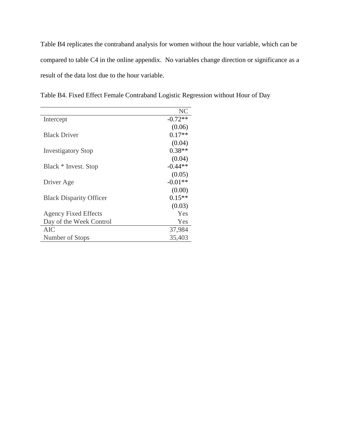Table B4 replicates the contraband analysis for women without the hour variable, which can be compared to table C4 in the online appendix. No variables change direction or significance as a result of the data lost due to the hour variable.

|                                | NC        |
|--------------------------------|-----------|
| Intercept                      | $-0.72**$ |
|                                | (0.06)    |
| <b>Black Driver</b>            | $0.17**$  |
|                                | (0.04)    |
| <b>Investigatory Stop</b>      | $0.38**$  |
|                                | (0.04)    |
| Black * Invest. Stop           | $-0.44**$ |
|                                | (0.05)    |
| Driver Age                     | $-0.01**$ |
|                                | (0.00)    |
| <b>Black Disparity Officer</b> | $0.15**$  |
|                                | (0.03)    |
| <b>Agency Fixed Effects</b>    | Yes       |
| Day of the Week Control        | Yes       |
| AIC                            | 37,984    |
| Number of Stops                | 35,403    |

Table B4. Fixed Effect Female Contraband Logistic Regression without Hour of Day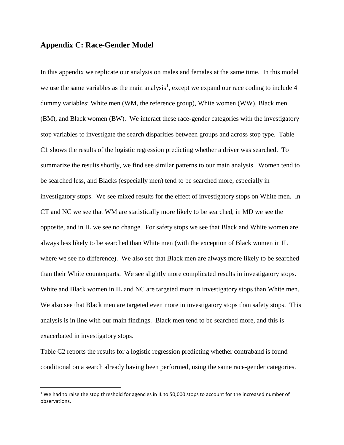#### **Appendix C: Race-Gender Model**

 $\overline{a}$ 

In this appendix we replicate our analysis on males and females at the same time. In this model we use the same variables as the main analysis<sup>1</sup>, except we expand our race coding to include 4 dummy variables: White men (WM, the reference group), White women (WW), Black men (BM), and Black women (BW). We interact these race-gender categories with the investigatory stop variables to investigate the search disparities between groups and across stop type. Table C1 shows the results of the logistic regression predicting whether a driver was searched. To summarize the results shortly, we find see similar patterns to our main analysis. Women tend to be searched less, and Blacks (especially men) tend to be searched more, especially in investigatory stops. We see mixed results for the effect of investigatory stops on White men. In CT and NC we see that WM are statistically more likely to be searched, in MD we see the opposite, and in IL we see no change. For safety stops we see that Black and White women are always less likely to be searched than White men (with the exception of Black women in IL where we see no difference). We also see that Black men are always more likely to be searched than their White counterparts. We see slightly more complicated results in investigatory stops. White and Black women in IL and NC are targeted more in investigatory stops than White men. We also see that Black men are targeted even more in investigatory stops than safety stops. This analysis is in line with our main findings. Black men tend to be searched more, and this is exacerbated in investigatory stops.

Table C2 reports the results for a logistic regression predicting whether contraband is found conditional on a search already having been performed, using the same race-gender categories.

 $1$  We had to raise the stop threshold for agencies in IL to 50,000 stops to account for the increased number of observations.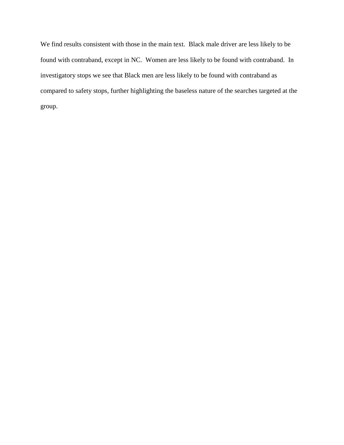We find results consistent with those in the main text. Black male driver are less likely to be found with contraband, except in NC. Women are less likely to be found with contraband. In investigatory stops we see that Black men are less likely to be found with contraband as compared to safety stops, further highlighting the baseless nature of the searches targeted at the group.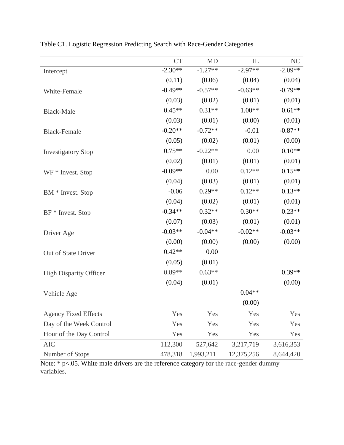|                               | <b>CT</b> | <b>MD</b> | IL         | <b>NC</b> |
|-------------------------------|-----------|-----------|------------|-----------|
| Intercept                     | $-2.30**$ | $-1.27**$ | $-2.97**$  | $-2.09**$ |
|                               | (0.11)    | (0.06)    | (0.04)     | (0.04)    |
| White-Female                  | $-0.49**$ | $-0.57**$ | $-0.63**$  | $-0.79**$ |
|                               | (0.03)    | (0.02)    | (0.01)     | (0.01)    |
| <b>Black-Male</b>             | $0.45**$  | $0.31**$  | $1.00**$   | $0.61**$  |
|                               | (0.03)    | (0.01)    | (0.00)     | (0.01)    |
| <b>Black-Female</b>           | $-0.20**$ | $-0.72**$ | $-0.01$    | $-0.87**$ |
|                               | (0.05)    | (0.02)    | (0.01)     | (0.00)    |
| <b>Investigatory Stop</b>     | $0.75**$  | $-0.22**$ | 0.00       | $0.10**$  |
|                               | (0.02)    | (0.01)    | (0.01)     | (0.01)    |
| WF * Invest. Stop             | $-0.09**$ | 0.00      | $0.12**$   | $0.15**$  |
|                               | (0.04)    | (0.03)    | (0.01)     | (0.01)    |
| BM * Invest. Stop             | $-0.06$   | $0.29**$  | $0.12**$   | $0.13**$  |
|                               | (0.04)    | (0.02)    | (0.01)     | (0.01)    |
| BF * Invest. Stop             | $-0.34**$ | $0.32**$  | $0.30**$   | $0.23**$  |
|                               | (0.07)    | (0.03)    | (0.01)     | (0.01)    |
| Driver Age                    | $-0.03**$ | $-0.04**$ | $-0.02**$  | $-0.03**$ |
|                               | (0.00)    | (0.00)    | (0.00)     | (0.00)    |
| Out of State Driver           | $0.42**$  | 0.00      |            |           |
|                               | (0.05)    | (0.01)    |            |           |
| <b>High Disparity Officer</b> | $0.89**$  | $0.63**$  |            | $0.39**$  |
|                               | (0.04)    | (0.01)    |            | (0.00)    |
| Vehicle Age                   |           |           | $0.04**$   |           |
|                               |           |           | (0.00)     |           |
| <b>Agency Fixed Effects</b>   | Yes       | Yes       | Yes        | Yes       |
| Day of the Week Control       | Yes       | Yes       | Yes        | Yes       |
| Hour of the Day Control       | Yes       | Yes       | Yes        | Yes       |
| <b>AIC</b>                    | 112,300   | 527,642   | 3,217,719  | 3,616,353 |
| Number of Stops               | 478,318   | 1,993,211 | 12,375,256 | 8,644,420 |

Table C1. Logistic Regression Predicting Search with Race-Gender Categories

Note: \* p<.05. White male drivers are the reference category for the race-gender dummy variables.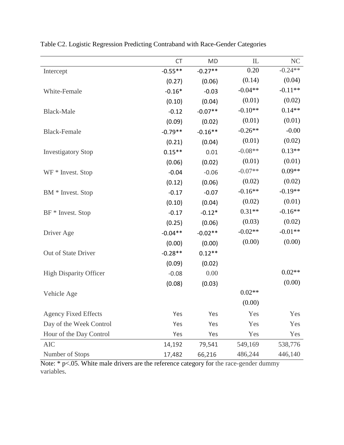|                               | <b>CT</b> | <b>MD</b> | IL        | <b>NC</b> |
|-------------------------------|-----------|-----------|-----------|-----------|
| Intercept                     | $-0.55**$ | $-0.27**$ | 0.20      | $-0.24**$ |
|                               | (0.27)    | (0.06)    | (0.14)    | (0.04)    |
| White-Female                  | $-0.16*$  | $-0.03$   | $-0.04**$ | $-0.11**$ |
|                               | (0.10)    | (0.04)    | (0.01)    | (0.02)    |
| <b>Black-Male</b>             | $-0.12$   | $-0.07**$ | $-0.10**$ | $0.14**$  |
|                               | (0.09)    | (0.02)    | (0.01)    | (0.01)    |
| <b>Black-Female</b>           | $-0.79**$ | $-0.16**$ | $-0.26**$ | $-0.00$   |
|                               | (0.21)    | (0.04)    | (0.01)    | (0.02)    |
| <b>Investigatory Stop</b>     | $0.15***$ | 0.01      | $-0.08**$ | $0.13**$  |
|                               | (0.06)    | (0.02)    | (0.01)    | (0.01)    |
| WF * Invest. Stop             | $-0.04$   | $-0.06$   | $-0.07**$ | $0.09**$  |
|                               | (0.12)    | (0.06)    | (0.02)    | (0.02)    |
| BM * Invest. Stop             | $-0.17$   | $-0.07$   | $-0.16**$ | $-0.19**$ |
|                               | (0.10)    | (0.04)    | (0.02)    | (0.01)    |
| BF * Invest. Stop             | $-0.17$   | $-0.12*$  | $0.31**$  | $-0.16**$ |
|                               | (0.25)    | (0.06)    | (0.03)    | (0.02)    |
| Driver Age                    | $-0.04**$ | $-0.02**$ | $-0.02**$ | $-0.01**$ |
|                               | (0.00)    | (0.00)    | (0.00)    | (0.00)    |
| Out of State Driver           | $-0.28**$ | $0.12**$  |           |           |
|                               | (0.09)    | (0.02)    |           |           |
| <b>High Disparity Officer</b> | $-0.08$   | 0.00      |           | $0.02**$  |
|                               | (0.08)    | (0.03)    |           | (0.00)    |
| Vehicle Age                   |           |           | $0.02**$  |           |
|                               |           |           | (0.00)    |           |
| <b>Agency Fixed Effects</b>   | Yes       | Yes       | Yes       | Yes       |
| Day of the Week Control       | Yes       | Yes       | Yes       | Yes       |
| Hour of the Day Control       | Yes       | Yes       | Yes       | Yes       |
| <b>AIC</b>                    | 14,192    | 79,541    | 549,169   | 538,776   |
| Number of Stops               | 17,482    | 66,216    | 486,244   | 446,140   |

Table C2. Logistic Regression Predicting Contraband with Race-Gender Categories

Note: \* p<.05. White male drivers are the reference category for the race-gender dummy variables.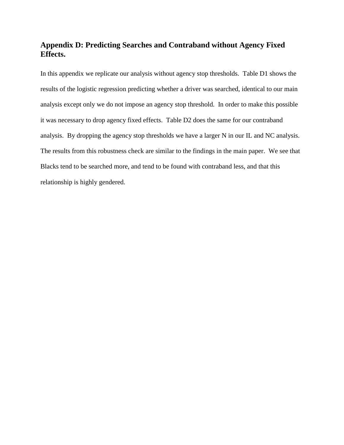### **Appendix D: Predicting Searches and Contraband without Agency Fixed Effects.**

In this appendix we replicate our analysis without agency stop thresholds. Table D1 shows the results of the logistic regression predicting whether a driver was searched, identical to our main analysis except only we do not impose an agency stop threshold. In order to make this possible it was necessary to drop agency fixed effects. Table D2 does the same for our contraband analysis. By dropping the agency stop thresholds we have a larger N in our IL and NC analysis. The results from this robustness check are similar to the findings in the main paper. We see that Blacks tend to be searched more, and tend to be found with contraband less, and that this relationship is highly gendered.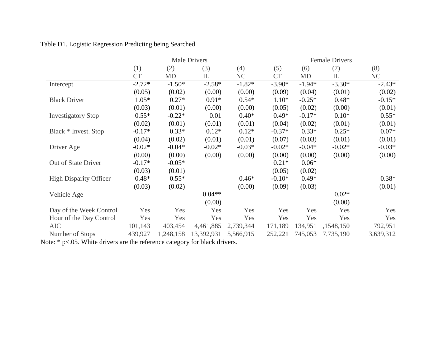|                               | <b>Male Drivers</b> |           |            |           |           | <b>Female Drivers</b> |           |           |  |
|-------------------------------|---------------------|-----------|------------|-----------|-----------|-----------------------|-----------|-----------|--|
|                               | (1)                 | (2)       | (3)        | (4)       | (5)       | (6)                   | (7)       | (8)       |  |
|                               | <b>CT</b>           | <b>MD</b> | IL         | NC        | <b>CT</b> | <b>MD</b>             | IL        | NC        |  |
| Intercept                     | $-2.72*$            | $-1.50*$  | $-2.58*$   | $-1.82*$  | $-3.90*$  | $-1.94*$              | $-3.30*$  | $-2.43*$  |  |
|                               | (0.05)              | (0.02)    | (0.00)     | (0.00)    | (0.09)    | (0.04)                | (0.01)    | (0.02)    |  |
| <b>Black Driver</b>           | $1.05*$             | $0.27*$   | $0.91*$    | $0.54*$   | $1.10*$   | $-0.25*$              | $0.48*$   | $-0.15*$  |  |
|                               | (0.03)              | (0.01)    | (0.00)     | (0.00)    | (0.05)    | (0.02)                | (0.00)    | (0.01)    |  |
| <b>Investigatory Stop</b>     | $0.55*$             | $-0.22*$  | 0.01       | $0.40*$   | $0.49*$   | $-0.17*$              | $0.10*$   | $0.55*$   |  |
|                               | (0.02)              | (0.01)    | (0.01)     | (0.01)    | (0.04)    | (0.02)                | (0.01)    | (0.01)    |  |
| Black * Invest. Stop          | $-0.17*$            | $0.33*$   | $0.12*$    | $0.12*$   | $-0.37*$  | $0.33*$               | $0.25*$   | $0.07*$   |  |
|                               | (0.04)              | (0.02)    | (0.01)     | (0.01)    | (0.07)    | (0.03)                | (0.01)    | (0.01)    |  |
| Driver Age                    | $-0.02*$            | $-0.04*$  | $-0.02*$   | $-0.03*$  | $-0.02*$  | $-0.04*$              | $-0.02*$  | $-0.03*$  |  |
|                               | (0.00)              | (0.00)    | (0.00)     | (0.00)    | (0.00)    | (0.00)                | (0.00)    | (0.00)    |  |
| Out of State Driver           | $-0.17*$            | $-0.05*$  |            |           | $0.21*$   | $0.06*$               |           |           |  |
|                               | (0.03)              | (0.01)    |            |           | (0.05)    | (0.02)                |           |           |  |
| <b>High Disparity Officer</b> | $0.48*$             | $0.55*$   |            | $0.46*$   | $-0.10*$  | $0.49*$               |           | $0.38*$   |  |
|                               | (0.03)              | (0.02)    |            | (0.00)    | (0.09)    | (0.03)                |           | (0.01)    |  |
| Vehicle Age                   |                     |           | $0.04**$   |           |           |                       | $0.02*$   |           |  |
|                               |                     |           | (0.00)     |           |           |                       | (0.00)    |           |  |
| Day of the Week Control       | Yes                 | Yes       | Yes        | Yes       | Yes       | Yes                   | Yes       | Yes       |  |
| Hour of the Day Control       | Yes                 | Yes       | Yes        | Yes       | Yes       | Yes                   | Yes       | Yes       |  |
| <b>AIC</b>                    | 101,143             | 403,454   | 4,461,885  | 2,739,344 | 171,189   | 134,951               | ,1548,150 | 792,951   |  |
| Number of Stops               | 439,927             | 1,248,158 | 13,392,931 | 5,566,915 | 252,221   | 745,053               | 7,735,190 | 3,639,312 |  |

Table D1. Logistic Regression Predicting being Searched

Note: \* p<.05. White drivers are the reference category for black drivers.